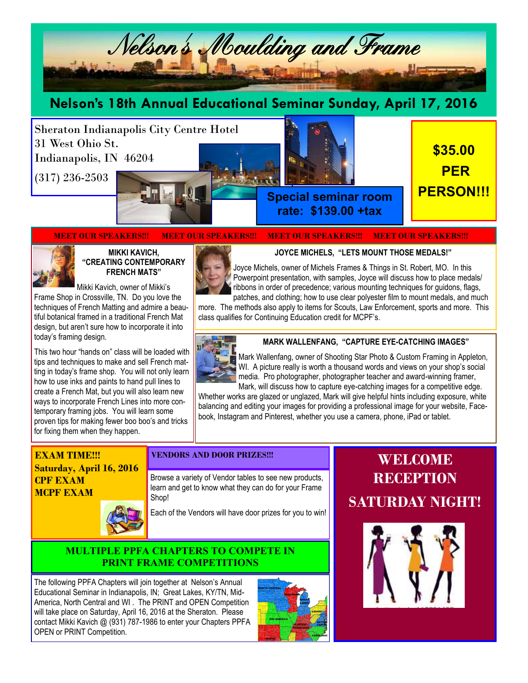

# **Nelson's 18th Annual Educational Seminar Sunday, April 17, 2016**

Sheraton Indianapolis City Centre Hotel 31 West Ohio St. Indianapolis, IN 46204

(317) 236-2503



**\$35.00 PER PERSON!!! Special seminar room** 

**rate: \$139.00 +tax**

#### **MEET OUR SPEAKERS!!! MEET OUR SPEAKERS!!! MEET OUR SPEAKERS!!! MEET OUR SPEAKERS!!!**



#### **MIKKI KAVICH, "CREATING CONTEMPORARY FRENCH MATS"**

Mikki Kavich, owner of Mikki's Frame Shop in Crossville, TN. Do you love the techniques of French Matting and admire a beautiful botanical framed in a traditional French Mat design, but aren't sure how to incorporate it into today's framing design.

This two hour "hands on" class will be loaded with tips and techniques to make and sell French matting in today's frame shop. You will not only learn how to use inks and paints to hand pull lines to create a French Mat, but you will also learn new ways to incorporate French Lines into more contemporary framing jobs. You will learn some proven tips for making fewer boo boo's and tricks for fixing them when they happen.

### **JOYCE MICHELS, "LETS MOUNT THOSE MEDALS!"**



Joyce Michels, owner of Michels Frames & Things in St. Robert, MO. In this Powerpoint presentation, with samples, Joyce will discuss how to place medals/ ribbons in order of precedence; various mounting techniques for guidons, flags, patches, and clothing; how to use clear polyester film to mount medals, and much

more. The methods also apply to items for Scouts, Law Enforcement, sports and more. This class qualifies for Continuing Education credit for MCPF's.



### **MARK WALLENFANG, "CAPTURE EYE-CATCHING IMAGES"**

Mark Wallenfang, owner of Shooting Star Photo & Custom Framing in Appleton, WI. A picture really is worth a thousand words and views on your shop's social media. Pro photographer, photographer teacher and award-winning framer, Mark, will discuss how to capture eye-catching images for a competitive edge.

Whether works are glazed or unglazed, Mark will give helpful hints including exposure, white balancing and editing your images for providing a professional image for your website, Facebook, Instagram and Pinterest, whether you use a camera, phone, iPad or tablet.

## **EXAM TIME!!! Saturday, April 16, 2016 CPF EXAM MCPF EXAM**



### **VENDORS AND DOOR PRIZES!!!**

Browse a variety of Vendor tables to see new products, learn and get to know what they can do for your Frame Shop!

Each of the Vendors will have door prizes for you to win!

### **MULTIPLE PPFA CHAPTERS TO COMPETE IN PRINT FRAME COMPETITIONS**

The following PPFA Chapters will join together at Nelson's Annual Educational Seminar in Indianapolis, IN; Great Lakes, KY/TN, Mid-America, North Central and WI . The PRINT and OPEN Competition will take place on Saturday, April 16, 2016 at the Sheraton. Please contact Mikki Kavich @ (931) 787-1986 to enter your Chapters PPFA OPEN or PRINT Competition.



# **WELCOME RECEPTION SATURDAY NIGHT!**

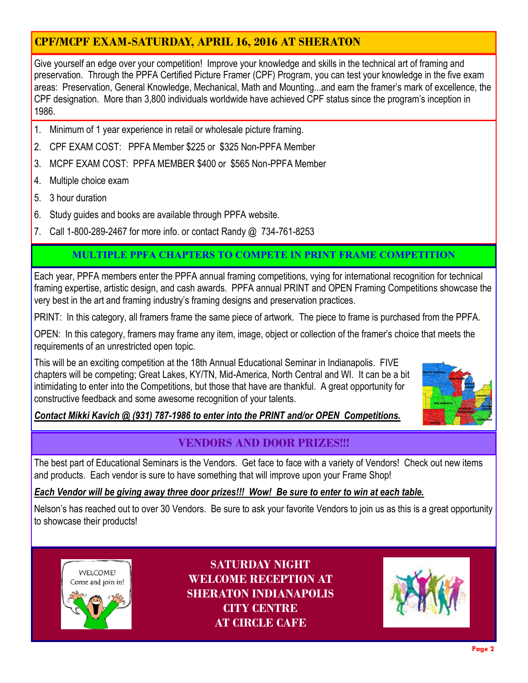# **CPF/MCPF EXAM-SATURDAY, APRIL 16, 2016 AT SHERATON**

Give yourself an edge over your competition! Improve your knowledge and skills in the technical art of framing and preservation. Through the PPFA Certified Picture Framer (CPF) Program, you can test your knowledge in the five exam areas: Preservation, General Knowledge, Mechanical, Math and Mounting...and earn the framer's mark of excellence, the CPF designation. More than 3,800 individuals worldwide have achieved CPF status since the program's inception in 1986.

- 1. Minimum of 1 year experience in retail or wholesale picture framing.
- 2. CPF EXAM COST: PPFA Member \$225 or \$325 Non-PPFA Member
- 3. MCPF EXAM COST: PPFA MEMBER \$400 or \$565 Non-PPFA Member
- 4. Multiple choice exam
- 5. 3 hour duration
- 6. Study guides and books are available through PPFA website.
- 7. Call 1-800-289-2467 for more info. or contact Randy @ 734-761-8253

# **MULTIPLE PPFA CHAPTERS TO COMPETE IN PRINT FRAME COMPETITION**

Each year, PPFA members enter the PPFA annual framing competitions, vying for international recognition for technical framing expertise, artistic design, and cash awards. PPFA annual PRINT and OPEN Framing Competitions showcase the very best in the art and framing industry's framing designs and preservation practices.

PRINT: In this category, all framers frame the same piece of artwork. The piece to frame is purchased from the PPFA.

OPEN: In this category, framers may frame any item, image, object or collection of the framer's choice that meets the requirements of an unrestricted open topic.

This will be an exciting competition at the 18th Annual Educational Seminar in Indianapolis. FIVE chapters will be competing; Great Lakes, KY/TN, Mid-America, North Central and WI. It can be a bit intimidating to enter into the Competitions, but those that have are thankful. A great opportunity for constructive feedback and some awesome recognition of your talents.



# *Contact Mikki Kavich @ (931) 787-1986 to enter into the PRINT and/or OPEN Competitions.*

# **VENDORS AND DOOR PRIZES!!!**

The best part of Educational Seminars is the Vendors. Get face to face with a variety of Vendors! Check out new items and products. Each vendor is sure to have something that will improve upon your Frame Shop!

## *Each Vendor will be giving away three door prizes!!! Wow! Be sure to enter to win at each table.*

Nelson's has reached out to over 30 Vendors. Be sure to ask your favorite Vendors to join us as this is a great opportunity to showcase their products!



**SATURDAY NIGHT WELCOME RECEPTION AT SHERATON INDIANAPOLIS CITY CENTRE AT CIRCLE CAFE**

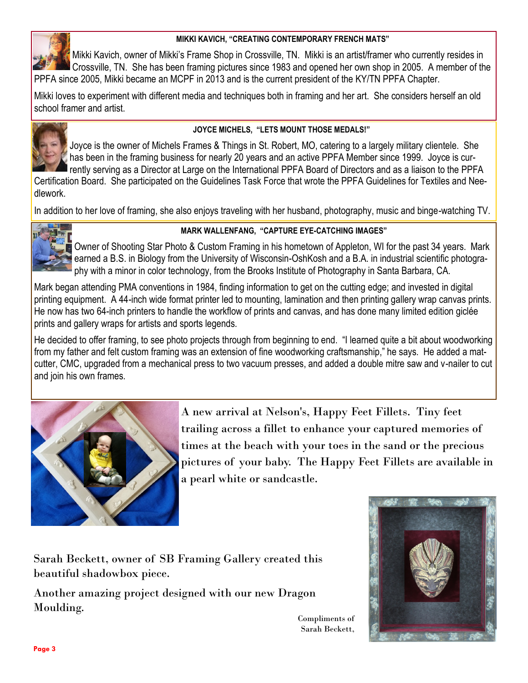## **MIKKI KAVICH, "CREATING CONTEMPORARY FRENCH MATS"**



Mikki Kavich, owner of Mikki's Frame Shop in Crossville, TN. Mikki is an artist/framer who currently resides in Crossville, TN. She has been framing pictures since 1983 and opened her own shop in 2005. A member of the PPFA since 2005, Mikki became an MCPF in 2013 and is the current president of the KY/TN PPFA Chapter.

Mikki loves to experiment with different media and techniques both in framing and her art. She considers herself an old school framer and artist.



# **JOYCE MICHELS, "LETS MOUNT THOSE MEDALS!"**

Joyce is the owner of Michels Frames & Things in St. Robert, MO, catering to a largely military clientele. She has been in the framing business for nearly 20 years and an active PPFA Member since 1999. Joyce is currently serving as a Director at Large on the International PPFA Board of Directors and as a liaison to the PPFA

Certification Board. She participated on the Guidelines Task Force that wrote the PPFA Guidelines for Textiles and Needlework.

In addition to her love of framing, she also enjoys traveling with her husband, photography, music and binge-watching TV.



# **MARK WALLENFANG, "CAPTURE EYE-CATCHING IMAGES"**

Owner of Shooting Star Photo & Custom Framing in his hometown of Appleton, WI for the past 34 years. Mark earned a B.S. in Biology from the University of Wisconsin-OshKosh and a B.A. in industrial scientific photography with a minor in color technology, from the Brooks Institute of Photography in Santa Barbara, CA.

Mark began attending PMA conventions in 1984, finding information to get on the cutting edge; and invested in digital printing equipment. A 44-inch wide format printer led to mounting, lamination and then printing gallery wrap canvas prints. He now has two 64-inch printers to handle the workflow of prints and canvas, and has done many limited edition giclée prints and gallery wraps for artists and sports legends.

He decided to offer framing, to see photo projects through from beginning to end. "I learned quite a bit about woodworking from my father and felt custom framing was an extension of fine woodworking craftsmanship," he says. He added a matcutter, CMC, upgraded from a mechanical press to two vacuum presses, and added a double mitre saw and v-nailer to cut and join his own frames.



A new arrival at Nelson's, Happy Feet Fillets. Tiny feet trailing across a fillet to enhance your captured memories of times at the beach with your toes in the sand or the precious pictures of your baby. The Happy Feet Fillets are available in a pearl white or sandcastle.

> Compliments of Sarah Beckett,

Sarah Beckett, owner of SB Framing Gallery created this beautiful shadowbox piece.

Another amazing project designed with our new Dragon Moulding.